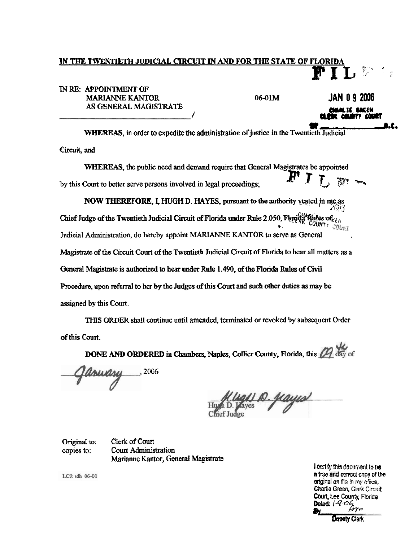## IN THE TWENTIETH JUDICIAL CIRCUIT IN AND FOR THE STATE OF FLORIDA

## IN RE: APPOINTMENT OF **MARIANNE KANTOR** AS GENERAL MAGISTRATE

 $06-01M$ 

JAN 0 9 2006

Magi is abeth æ

WHEREAS, in order to expedite the administration of justice in the Twentieth Judicial

Circuit, and

WHEREAS, the public need and demand require that General Magistrates be appointed by this Court to better serve persons involved in legal proceedings;

NOW THEREFORE, I, HUGH D. HAYES, pursuant to the authority vested in me as Chief Judge of the Twentieth Judicial Circuit of Florida under Rule 2.050, Florida Rules of  $\epsilon_{i,j}$ UNT COURT Judicial Administration, do hereby appoint MARIANNE KANTOR to serve as General Magistrate of the Circuit Court of the Twentieth Judicial Circuit of Florida to hear all matters as a General Magistrate is authorized to hear under Rule 1.490, of the Florida Rules of Civil Procedure, upon referral to her by the Judges of this Court and such other duties as may be assigned by this Court.

THIS ORDER shall continue until amended, terminated or revoked by subsequent Order of this Court.

DONE AND ORDERED in Chambers, Naples, Collier County, Florida, this 22 day of

 $\frac{1}{2}$ , 2006

<u> D. Jiayis</u>

Clerk of Court Original to: Court Administration copies to: Marianne Kantor, General Magistrate

LCJ: sdh 06-01

I certify this document to be a true and correct copy of the original on file in my office. Charlie Green, Clerk Circuit Court, Lee County, Florida Dated:  $1406$ 

**Deputy Clark**